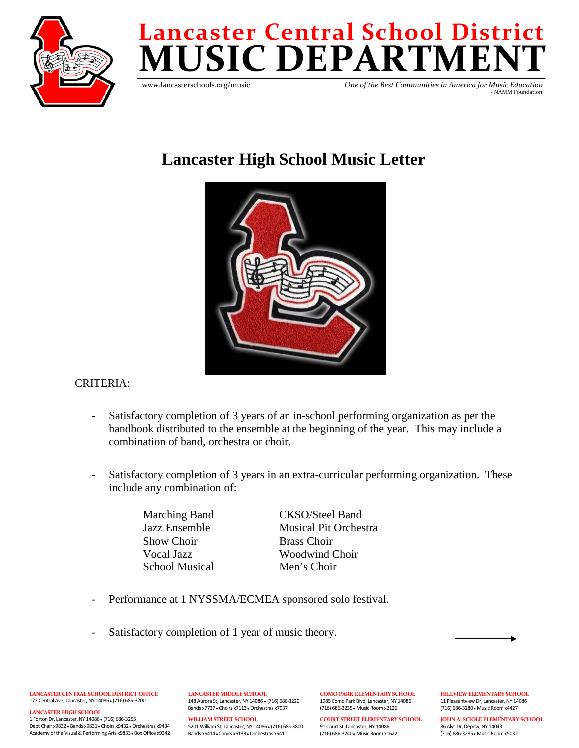

# **MUSICDEPARTMENT Lancaster Central School District**

www.lancasterschools.org/music

 *One of the Best Communities in America for Music Education* - NAMM Foundation

# **Lancaster High School Music Letter**



# CRITERIA:

- Satisfactory completion of 3 years of an in-school performing organization as per the handbook distributed to the ensemble at the beginning of the year. This may include a combination of band, orchestra or choir.
- Satisfactory completion of 3 years in an extra-curricular performing organization. These include any combination of:

Show Choir Brass Choir School Musical Men's Choir

Marching Band CKSO/Steel Band Jazz Ensemble Musical Pit Orchestra Vocal Jazz Woodwind Choir

- Performance at 1 NYSSMA/ECMEA sponsored solo festival.
- Satisfactory completion of 1 year of music theory.

**WILLIAM STREET SCHOOL**

**LANCASTER CENTRAL SCHOOL DISTRICT OFFICE** 177 Central Ave, Lancaster, NY 14086● (716) 686-3200

**LANCASTER HIGH SCHOOL**

1 Forton Dr, Lancaster, NY 14086● (716) 686-3255 Dept Chair x9832● Bands x9831● Choirs x9432●Orchestras x9434 Academy of the Visual & Performing Arts x9833 . Box Office x9342 **LANCASTER MIDDLE SCHOOL** 148 Aurora St, Lancaster, NY 14086 ● (716) 686-3220 Bands x7737● Choirs x7113●Orchestras x7937

5201 William St, Lancaster, NY 14086● (716) 686-3800 Bands x6414● Choirs x6133●Orchestras x6411

1985 Como Park Blvd, Lancaster, NY 14086 (716) 686-3235● Music Room x2126

**COURT STREET ELEMENTARY SCHOOL** 91 Court St, Lancaster, NY 14086 (716) 686-3240● Music Room x1622

**COMO PARK ELEMENTARY SCHOOL**

**HILLVIEW ELEMENTARY SCHOOL** 11 Pleasantview Dr, Lancaster, NY 14086 (716) 686-3280● Music Room x4427

**JOHN A. SCIOLE ELEMENTARY SCHOOL** 86 Alys Dr, Depew, NY 14043 (716) 686-3285● Music Room x5032